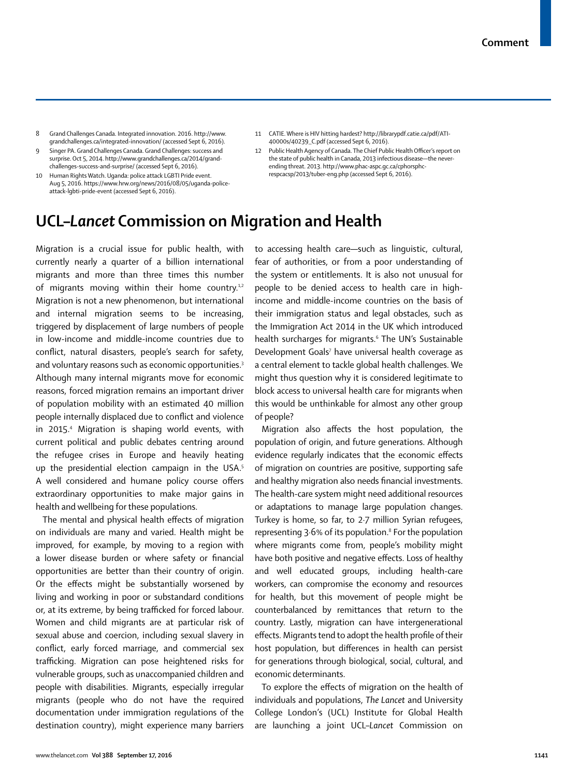- 8 Grand Challenges Canada. Integrated innovation. 2016. http://www. grandchallenges.ca/integrated-innovation/ (accessed Sept 6, 2016).
- 9 Singer PA. Grand Challenges Canada. Grand Challenges: success and surprise. Oct 5, 2014. http://www.grandchallenges.ca/2014/grandchallenges-success-and-surprise/ (accessed Sept 6, 2016).
- 10 Human Rights Watch. Uganda: police attack LGBTI Pride event. Aug 5, 2016. https://www.hrw.org/news/2016/08/05/uganda-policeattack-lgbti-pride-event (accessed Sept 6, 2016).
- 11 CATIE. Where is HIV hitting hardest? http://librarypdf.catie.ca/pdf/ATI-40000s/40239\_C.pdf (accessed Sept 6, 2016).
- 12 Public Health Agency of Canada. The Chief Public Health Officer's report on the state of public health in Canada, 2013 infectious disease—the neverending threat. 2013. http://www.phac-aspc.gc.ca/cphorsphcrespcacsp/2013/tuber-eng.php (accessed Sept 6, 2016).

## **UCL–***Lancet* **Commission on Migration and Health**

Migration is a crucial issue for public health, with currently nearly a quarter of a billion international migrants and more than three times this number of migrants moving within their home country.<sup>1,2</sup> Migration is not a new phenomenon, but international and internal migration seems to be increasing, triggered by displacement of large numbers of people in low-income and middle-income countries due to conflict, natural disasters, people's search for safety, and voluntary reasons such as economic opportunities.<sup>3</sup> Although many internal migrants move for economic reasons, forced migration remains an important driver of population mobility with an estimated 40 million people internally displaced due to conflict and violence in 2015.4 Migration is shaping world events, with current political and public debates centring around the refugee crises in Europe and heavily heating up the presidential election campaign in the USA.<sup>5</sup> A well considered and humane policy course offers extraordinary opportunities to make major gains in health and wellbeing for these populations.

The mental and physical health effects of migration on individuals are many and varied. Health might be improved, for example, by moving to a region with a lower disease burden or where safety or financial opportunities are better than their country of origin. Or the effects might be substantially worsened by living and working in poor or substandard conditions or, at its extreme, by being trafficked for forced labour. Women and child migrants are at particular risk of sexual abuse and coercion, including sexual slavery in conflict, early forced marriage, and commercial sex trafficking. Migration can pose heightened risks for vulnerable groups, such as unaccompanied children and people with disabilities. Migrants, especially irregular migrants (people who do not have the required documentation under immigration regulations of the destination country), might experience many barriers to accessing health care—such as linguistic, cultural, fear of authorities, or from a poor understanding of the system or entitlements. It is also not unusual for people to be denied access to health care in highincome and middle-income countries on the basis of their immigration status and legal obstacles, such as the Immigration Act 2014 in the UK which introduced health surcharges for migrants.6 The UN's Sustainable Development Goals<sup>7</sup> have universal health coverage as a central element to tackle global health challenges. We might thus question why it is considered legitimate to block access to universal health care for migrants when this would be unthinkable for almost any other group of people?

Migration also affects the host population, the population of origin, and future generations. Although evidence regularly indicates that the economic effects of migration on countries are positive, supporting safe and healthy migration also needs financial investments. The health-care system might need additional resources or adaptations to manage large population changes. Turkey is home, so far, to 2·7 million Syrian refugees, representing  $3.6\%$  of its population.<sup>8</sup> For the population where migrants come from, people's mobility might have both positive and negative effects. Loss of healthy and well educated groups, including health-care workers, can compromise the economy and resources for health, but this movement of people might be counterbalanced by remittances that return to the country. Lastly, migration can have intergenerational effects. Migrants tend to adopt the health profile of their host population, but differences in health can persist for generations through biological, social, cultural, and economic determinants.

To explore the effects of migration on the health of individuals and populations, *The Lancet* and University College London's (UCL) Institute for Global Health are launching a joint UCL–*Lancet* Commission on